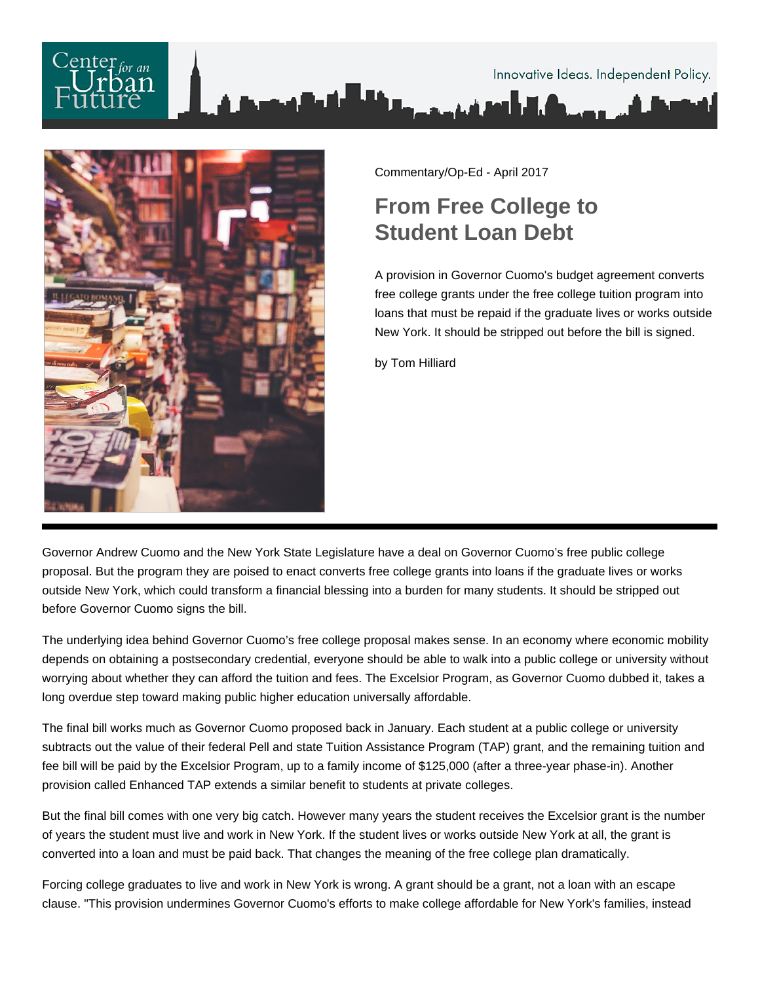



Commentary/Op-Ed - April 2017

## **From Free College to Student Loan Debt**

A provision in Governor Cuomo's budget agreement converts free college grants under the free college tuition program into loans that must be repaid if the graduate lives or works outside New York. It should be stripped out before the bill is signed.

by Tom Hilliard

Governor Andrew Cuomo and the New York State Legislature have a deal on Governor Cuomo's free public college proposal. But the program they are poised to enact converts free college grants into loans if the graduate lives or works outside New York, which could transform a financial blessing into a burden for many students. It should be stripped out before Governor Cuomo signs the bill.

The underlying idea behind Governor Cuomo's free college proposal makes sense. In an economy where economic mobility depends on obtaining a postsecondary credential, everyone should be able to walk into a public college or university without worrying about whether they can afford the tuition and fees. The Excelsior Program, as Governor Cuomo dubbed it, takes a long overdue step toward making public higher education universally affordable.

The final bill works much as Governor Cuomo proposed back in January. Each student at a public college or university subtracts out the value of their federal Pell and state Tuition Assistance Program (TAP) grant, and the remaining tuition and fee bill will be paid by the Excelsior Program, up to a family income of \$125,000 (after a three-year phase-in). Another provision called Enhanced TAP extends a similar benefit to students at private colleges.

But the final bill comes with one very big catch. However many years the student receives the Excelsior grant is the number of years the student must live and work in New York. If the student lives or works outside New York at all, the grant is converted into a loan and must be paid back. That changes the meaning of the free college plan dramatically.

Forcing college graduates to live and work in New York is wrong. A grant should be a grant, not a loan with an escape clause. "This provision undermines Governor Cuomo's efforts to make college affordable for New York's families, instead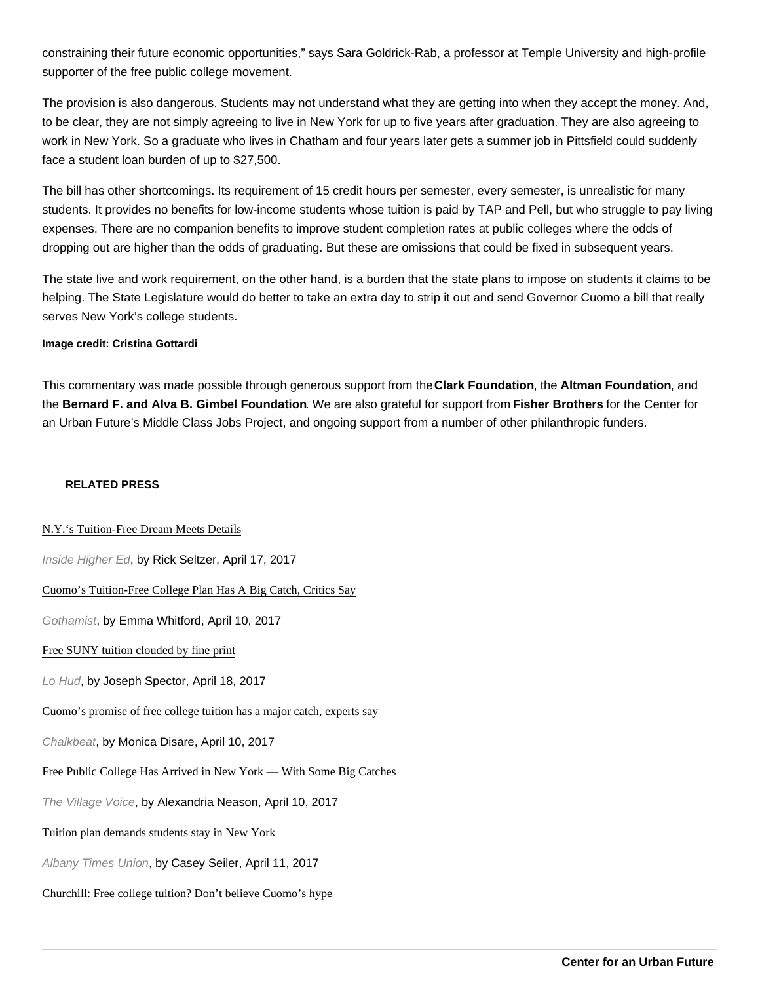constraining their future economic opportunities," says Sara Goldrick-Rab, a professor at Temple University and high-profile supporter of the free public college movement.

The provision is also dangerous. Students may not understand what they are getting into when they accept the money. And, to be clear, they are not simply agreeing to live in New York for up to five years after graduation. They are also agreeing to work in New York. So a graduate who lives in Chatham and four years later gets a summer job in Pittsfield could suddenly face a student loan burden of up to \$27,500.

The bill has other shortcomings. Its requirement of 15 credit hours per semester, every semester, is unrealistic for many students. It provides no benefits for low-income students whose tuition is paid by TAP and Pell, but who struggle to pay living expenses. There are no companion benefits to improve student completion rates at public colleges where the odds of dropping out are higher than the odds of graduating. But these are omissions that could be fixed in subsequent years.

The state live and work requirement, on the other hand, is a burden that the state plans to impose on students it claims to be helping. The State Legislature would do better to take an extra day to strip it out and send Governor Cuomo a bill that really serves New York's college students.

Image credit: Cristina Gottardi

This commentary was made possible through generous support from the Clark Foundation , the Altman Foundation , and the Bernard F. and Alva B. Gimbel Foundation . We are also grateful for support from Fisher Brothers for the Center for an Urban Future's Middle Class Jobs Project, and ongoing support from a number of other philanthropic funders.

## RELATED PRESS

[N.Y.'s Tuition-Free Dream Meets Deta](https://www.insidehighered.com/news/2017/04/17/new-yorks-tuition-free-college-program-sparks-debates-and-defenses)ils

Inside Higher Ed, by Rick Seltzer, April 17, 2017

[Cuomo's Tuition-Free College Plan Has A Big Catch, Critics](http://gothamist.com/2017/04/10/tuition_free_college_cuomo.php) Say

Gothamist, by Emma Whitford, April 10, 2017

[Free SUNY tuition clouded by fine pri](http://www.lohud.com/story/news/politics/politics-on-the-hudson/2017/04/18/free-suny-tuition-clouded-fine-print/100607312/)nt

Lo Hud, by Joseph Spector, April 18, 2017

[Cuomo's promise of free college tuition has a major catch, exper](http://www.chalkbeat.org/posts/ny/2017/04/10/cuomos-promise-of-free-college-tuition-has-a-major-catch-experts-say/)ts say

Chalkbeat, by Monica Disare, April 10, 2017

[Free Public College Has Arrived in New York — With Some Big Cat](http://www.villagevoice.com/news/free-public-college-has-arrived-in-new-york-with-some-big-catches-9870598)ches

The Village Voice, by Alexandria Neason, April 10, 2017

## [Tuition plan demands students stay in New Y](http://www.timesunion.com/tuplus-local/article/Tuition-plan-demands-students-stay-in-New-York-11064494.php)ork

Albany Times Union, by Casey Seiler, April 11, 2017

## [Churchill: Free college tuition? Don't believe Cuomo's h](http://www.timesunion.com/tuplus-local/article/Churchill-Free-college-tuition-Don-t-believe-11069953.php)ype